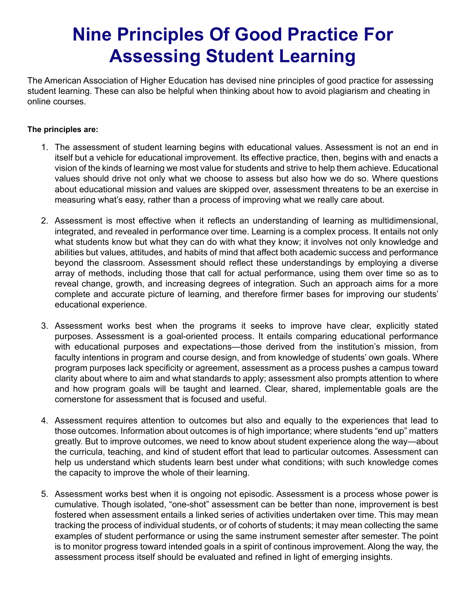## **Nine Principles Of Good Practice For Assessing Student Learning**

The American Association of Higher Education has devised nine principles of good practice for assessing student learning. These can also be helpful when thinking about how to avoid plagiarism and cheating in online courses.

## **The principles are:**

- 1. The assessment of student learning begins with educational values. Assessment is not an end in itself but a vehicle for educational improvement. Its effective practice, then, begins with and enacts a vision of the kinds of learning we most value for students and strive to help them achieve. Educational values should drive not only what we choose to assess but also how we do so. Where questions about educational mission and values are skipped over, assessment threatens to be an exercise in measuring what's easy, rather than a process of improving what we really care about.
- 2. Assessment is most effective when it reflects an understanding of learning as multidimensional, integrated, and revealed in performance over time. Learning is a complex process. It entails not only what students know but what they can do with what they know; it involves not only knowledge and abilities but values, attitudes, and habits of mind that affect both academic success and performance beyond the classroom. Assessment should reflect these understandings by employing a diverse array of methods, including those that call for actual performance, using them over time so as to reveal change, growth, and increasing degrees of integration. Such an approach aims for a more complete and accurate picture of learning, and therefore firmer bases for improving our students' educational experience.
- 3. Assessment works best when the programs it seeks to improve have clear, explicitly stated purposes. Assessment is a goal-oriented process. It entails comparing educational performance with educational purposes and expectations—those derived from the institution's mission, from faculty intentions in program and course design, and from knowledge of students' own goals. Where program purposes lack specificity or agreement, assessment as a process pushes a campus toward clarity about where to aim and what standards to apply; assessment also prompts attention to where and how program goals will be taught and learned. Clear, shared, implementable goals are the cornerstone for assessment that is focused and useful.
- 4. Assessment requires attention to outcomes but also and equally to the experiences that lead to those outcomes. Information about outcomes is of high importance; where students "end up" matters greatly. But to improve outcomes, we need to know about student experience along the way—about the curricula, teaching, and kind of student effort that lead to particular outcomes. Assessment can help us understand which students learn best under what conditions; with such knowledge comes the capacity to improve the whole of their learning.
- 5. Assessment works best when it is ongoing not episodic. Assessment is a process whose power is cumulative. Though isolated, "one-shot" assessment can be better than none, improvement is best fostered when assessment entails a linked series of activities undertaken over time. This may mean tracking the process of individual students, or of cohorts of students; it may mean collecting the same examples of student performance or using the same instrument semester after semester. The point is to monitor progress toward intended goals in a spirit of continous improvement. Along the way, the assessment process itself should be evaluated and refined in light of emerging insights.